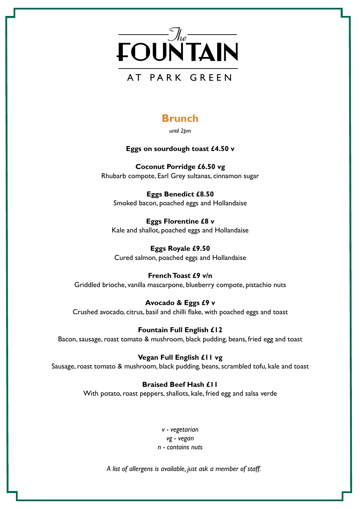

# **Brunch**

*until 2pm* 

## **Eggs on sourdough toast £4.50 v**

**Coconut Porridge £6.50 vg** Rhubarb compote, Earl Grey sultanas, cinnamon sugar

**Eggs Benedict £8.50** Smoked bacon, poached eggs and Hollandaise

**Eggs Florentine £8 v** Kale and shallot, poached eggs and Hollandaise

**Eggs Royale £9.50** Cured salmon, poached eggs and Hollandaise

# **French Toast £9 v/n**

Griddled brioche, vanilla mascarpone, blueberry compote, pistachio nuts

### **Avocado & Eggs £9 v**

Crushed avocado, citrus, basil and chilli flake, with poached eggs and toast

### **Fountain Full English £12**

Bacon, sausage, roast tomato & mushroom, black pudding, beans, fried egg and toast

### **Vegan Full English £11 vg**

Sausage, roast tomato & mushroom, black pudding, beans, scrambled tofu, kale and toast

# **Braised Beef Hash £11**

With potato, roast peppers, shallots, kale, fried egg and salsa verde

*v - vegetarian vg - vegan n - contains nuts*

*A list of allergens is available, just ask a member of staff.*